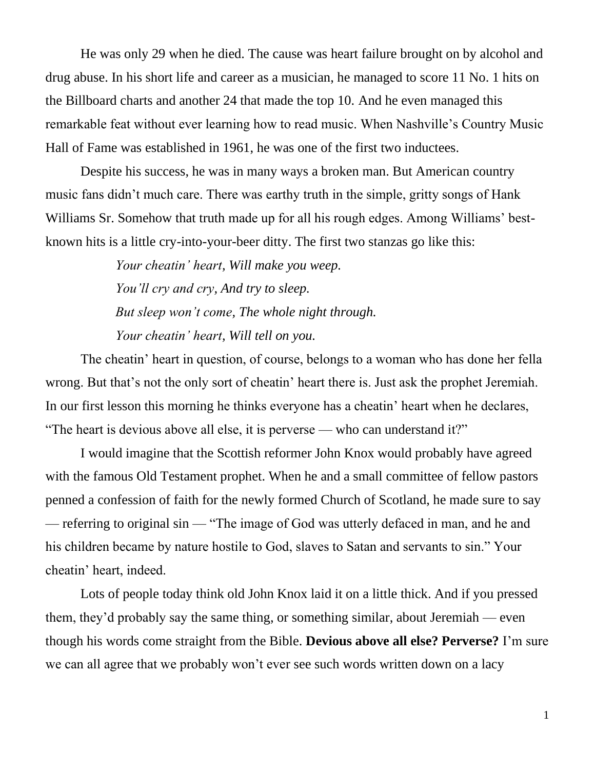He was only 29 when he died. The cause was heart failure brought on by alcohol and drug abuse. In his short life and career as a musician, he managed to score 11 No. 1 hits on the Billboard charts and another 24 that made the top 10. And he even managed this remarkable feat without ever learning how to read music. When Nashville's Country Music Hall of Fame was established in 1961, he was one of the first two inductees.

Despite his success, he was in many ways a broken man. But American country music fans didn't much care. There was earthy truth in the simple, gritty songs of Hank Williams Sr. Somehow that truth made up for all his rough edges. Among Williams' bestknown hits is a little cry-into-your-beer ditty. The first two stanzas go like this:

> *Your cheatin' heart, Will make you weep. You'll cry and cry, And try to sleep. But sleep won't come, The whole night through. Your cheatin' heart, Will tell on you.*

The cheatin' heart in question, of course, belongs to a woman who has done her fella wrong. But that's not the only sort of cheatin' heart there is. Just ask the prophet Jeremiah. In our first lesson this morning he thinks everyone has a cheatin' heart when he declares, "The heart is devious above all else, it is perverse — who can understand it?"

I would imagine that the Scottish reformer John Knox would probably have agreed with the famous Old Testament prophet. When he and a small committee of fellow pastors penned a confession of faith for the newly formed Church of Scotland, he made sure to say — referring to original sin — "The image of God was utterly defaced in man, and he and his children became by nature hostile to God, slaves to Satan and servants to sin." Your cheatin' heart, indeed.

Lots of people today think old John Knox laid it on a little thick. And if you pressed them, they'd probably say the same thing, or something similar, about Jeremiah — even though his words come straight from the Bible. **Devious above all else? Perverse?** I'm sure we can all agree that we probably won't ever see such words written down on a lacy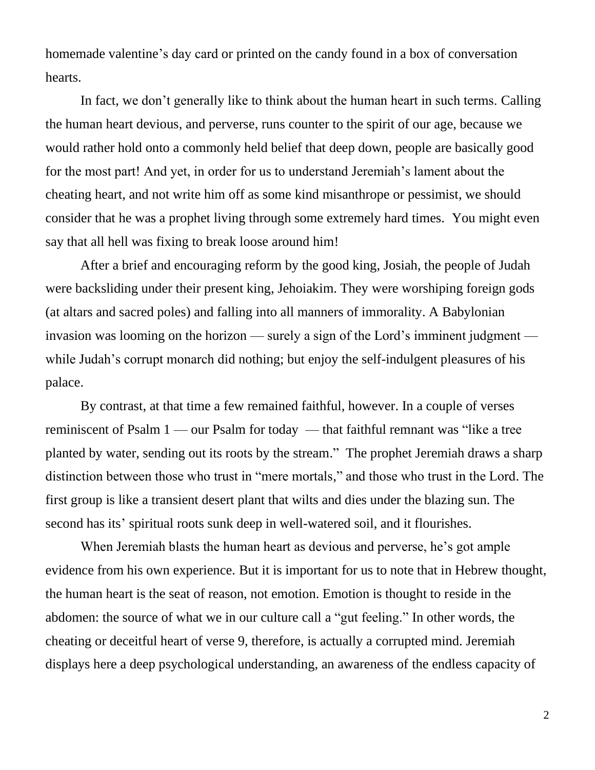homemade valentine's day card or printed on the candy found in a box of conversation hearts.

In fact, we don't generally like to think about the human heart in such terms. Calling the human heart devious, and perverse, runs counter to the spirit of our age, because we would rather hold onto a commonly held belief that deep down, people are basically good for the most part! And yet, in order for us to understand Jeremiah's lament about the cheating heart, and not write him off as some kind misanthrope or pessimist, we should consider that he was a prophet living through some extremely hard times. You might even say that all hell was fixing to break loose around him!

After a brief and encouraging reform by the good king, Josiah, the people of Judah were backsliding under their present king, Jehoiakim. They were worshiping foreign gods (at altars and sacred poles) and falling into all manners of immorality. A Babylonian invasion was looming on the horizon — surely a sign of the Lord's imminent judgment while Judah's corrupt monarch did nothing; but enjoy the self-indulgent pleasures of his palace.

By contrast, at that time a few remained faithful, however. In a couple of verses reminiscent of Psalm 1 — our Psalm for today — that faithful remnant was "like a tree planted by water, sending out its roots by the stream." The prophet Jeremiah draws a sharp distinction between those who trust in "mere mortals," and those who trust in the Lord. The first group is like a transient desert plant that wilts and dies under the blazing sun. The second has its' spiritual roots sunk deep in well-watered soil, and it flourishes.

When Jeremiah blasts the human heart as devious and perverse, he's got ample evidence from his own experience. But it is important for us to note that in Hebrew thought, the human heart is the seat of reason, not emotion. Emotion is thought to reside in the abdomen: the source of what we in our culture call a "gut feeling." In other words, the cheating or deceitful heart of verse 9, therefore, is actually a corrupted mind. Jeremiah displays here a deep psychological understanding, an awareness of the endless capacity of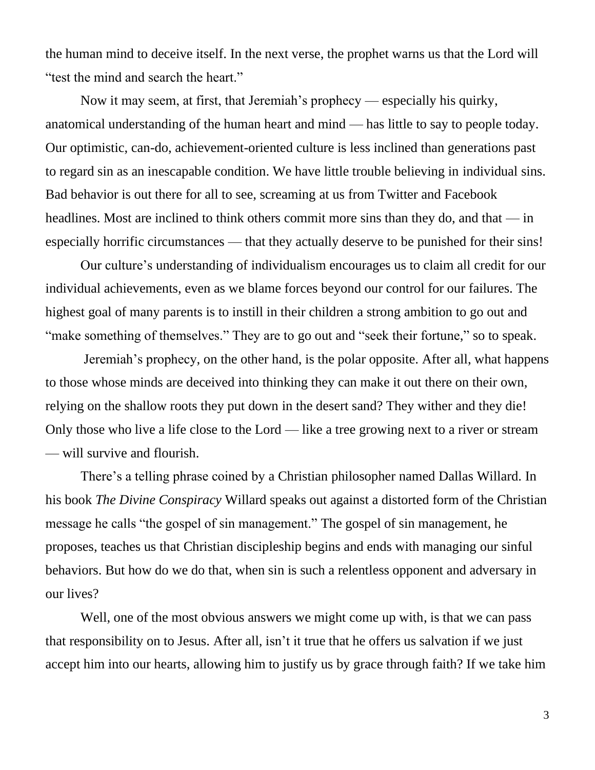the human mind to deceive itself. In the next verse, the prophet warns us that the Lord will "test the mind and search the heart."

Now it may seem, at first, that Jeremiah's prophecy — especially his quirky, anatomical understanding of the human heart and mind — has little to say to people today. Our optimistic, can-do, achievement-oriented culture is less inclined than generations past to regard sin as an inescapable condition. We have little trouble believing in individual sins. Bad behavior is out there for all to see, screaming at us from Twitter and Facebook headlines. Most are inclined to think others commit more sins than they do, and that — in especially horrific circumstances — that they actually deserve to be punished for their sins!

Our culture's understanding of individualism encourages us to claim all credit for our individual achievements, even as we blame forces beyond our control for our failures. The highest goal of many parents is to instill in their children a strong ambition to go out and "make something of themselves." They are to go out and "seek their fortune," so to speak.

Jeremiah's prophecy, on the other hand, is the polar opposite. After all, what happens to those whose minds are deceived into thinking they can make it out there on their own, relying on the shallow roots they put down in the desert sand? They wither and they die! Only those who live a life close to the Lord — like a tree growing next to a river or stream — will survive and flourish.

There's a telling phrase coined by a Christian philosopher named Dallas Willard. In his book *The Divine Conspiracy* Willard speaks out against a distorted form of the Christian message he calls "the gospel of sin management." The gospel of sin management, he proposes, teaches us that Christian discipleship begins and ends with managing our sinful behaviors. But how do we do that, when sin is such a relentless opponent and adversary in our lives?

Well, one of the most obvious answers we might come up with, is that we can pass that responsibility on to Jesus. After all, isn't it true that he offers us salvation if we just accept him into our hearts, allowing him to justify us by grace through faith? If we take him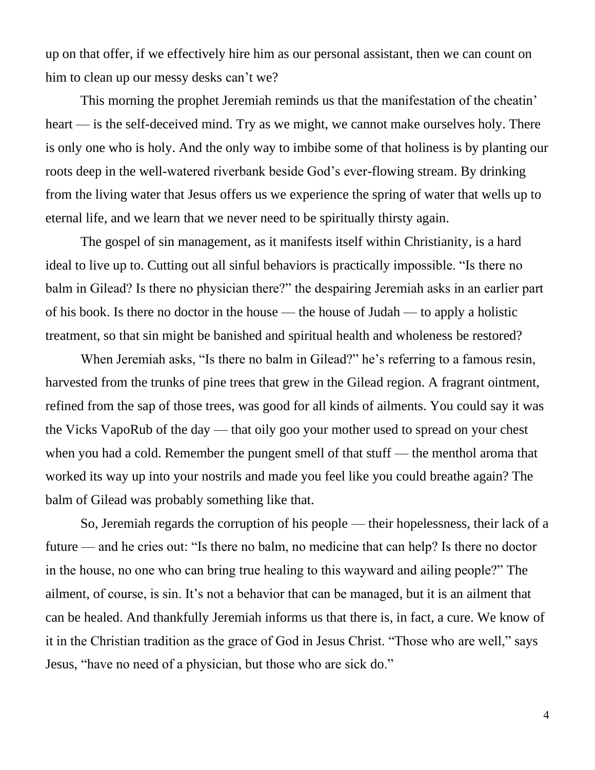up on that offer, if we effectively hire him as our personal assistant, then we can count on him to clean up our messy desks can't we?

This morning the prophet Jeremiah reminds us that the manifestation of the cheatin' heart — is the self-deceived mind. Try as we might, we cannot make ourselves holy. There is only one who is holy. And the only way to imbibe some of that holiness is by planting our roots deep in the well-watered riverbank beside God's ever-flowing stream. By drinking from the living water that Jesus offers us we experience the spring of water that wells up to eternal life, and we learn that we never need to be spiritually thirsty again.

The gospel of sin management, as it manifests itself within Christianity, is a hard ideal to live up to. Cutting out all sinful behaviors is practically impossible. "Is there no balm in Gilead? Is there no physician there?" the despairing Jeremiah asks in an earlier part of his book. Is there no doctor in the house — the house of Judah — to apply a holistic treatment, so that sin might be banished and spiritual health and wholeness be restored?

When Jeremiah asks, "Is there no balm in Gilead?" he's referring to a famous resin, harvested from the trunks of pine trees that grew in the Gilead region. A fragrant ointment, refined from the sap of those trees, was good for all kinds of ailments. You could say it was the Vicks VapoRub of the day — that oily goo your mother used to spread on your chest when you had a cold. Remember the pungent smell of that stuff — the menthol aroma that worked its way up into your nostrils and made you feel like you could breathe again? The balm of Gilead was probably something like that.

So, Jeremiah regards the corruption of his people — their hopelessness, their lack of a future — and he cries out: "Is there no balm, no medicine that can help? Is there no doctor in the house, no one who can bring true healing to this wayward and ailing people?" The ailment, of course, is sin. It's not a behavior that can be managed, but it is an ailment that can be healed. And thankfully Jeremiah informs us that there is, in fact, a cure. We know of it in the Christian tradition as the grace of God in Jesus Christ. "Those who are well," says Jesus, "have no need of a physician, but those who are sick do."